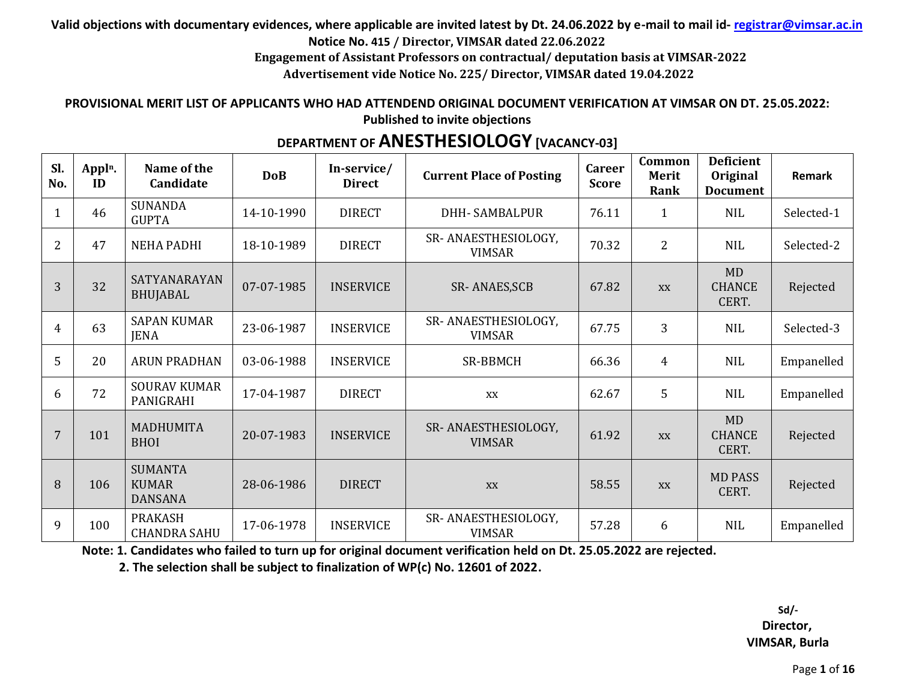# **Valid objections with documentary evidences, where applicable are invited latest by Dt. 24.06.2022 by e-mail to mail id- registrar@vimsar.ac.in**

**Notice No. 415 / Director, VIMSAR dated 22.06.2022**

**Engagement of Assistant Professors on contractual/ deputation basis at VIMSAR-2022**

**Advertisement vide Notice No. 225/ Director, VIMSAR dated 19.04.2022**

#### **PROVISIONAL MERIT LIST OF APPLICANTS WHO HAD ATTENDEND ORIGINAL DOCUMENT VERIFICATION AT VIMSAR ON DT. 25.05.2022: Published to invite objections**

# **DEPARTMENT OF ANESTHESIOLOGY [VACANCY-03]**

| Sl.<br>No.     | Appl <sup>n</sup> .<br>ID | Name of the<br>Candidate                         | <b>DoB</b> | In-service/<br><b>Direct</b> | <b>Current Place of Posting</b>      | <b>Career</b><br><b>Score</b> | Common<br>Merit<br>Rank | <b>Deficient</b><br>Original<br><b>Document</b> | <b>Remark</b> |
|----------------|---------------------------|--------------------------------------------------|------------|------------------------------|--------------------------------------|-------------------------------|-------------------------|-------------------------------------------------|---------------|
|                | 46                        | <b>SUNANDA</b><br><b>GUPTA</b>                   | 14-10-1990 | <b>DIRECT</b>                | <b>DHH-SAMBALPUR</b>                 | 76.11                         | $\mathbf{1}$            | <b>NIL</b>                                      | Selected-1    |
| 2              | 47                        | <b>NEHA PADHI</b>                                | 18-10-1989 | <b>DIRECT</b>                | SR-ANAESTHESIOLOGY,<br><b>VIMSAR</b> | 70.32                         | $\overline{2}$          | <b>NIL</b>                                      | Selected-2    |
| 3              | 32                        | <b>SATYANARAYAN</b><br><b>BHUJABAL</b>           | 07-07-1985 | <b>INSERVICE</b>             | SR-ANAES, SCB                        | 67.82                         | XX                      | <b>MD</b><br><b>CHANCE</b><br>CERT.             | Rejected      |
| $\overline{4}$ | 63                        | <b>SAPAN KUMAR</b><br><b>JENA</b>                | 23-06-1987 | <b>INSERVICE</b>             | SR-ANAESTHESIOLOGY,<br><b>VIMSAR</b> | 67.75                         | 3                       | <b>NIL</b>                                      | Selected-3    |
| 5              | 20                        | <b>ARUN PRADHAN</b>                              | 03-06-1988 | <b>INSERVICE</b>             | <b>SR-BBMCH</b>                      | 66.36                         | $\overline{4}$          | NIL                                             | Empanelled    |
| 6              | 72                        | <b>SOURAV KUMAR</b><br>PANIGRAHI                 | 17-04-1987 | <b>DIRECT</b>                | XX                                   | 62.67                         | 5                       | <b>NIL</b>                                      | Empanelled    |
| 7              | 101                       | <b>MADHUMITA</b><br><b>BHOI</b>                  | 20-07-1983 | <b>INSERVICE</b>             | SR-ANAESTHESIOLOGY,<br><b>VIMSAR</b> | 61.92                         | XX                      | <b>MD</b><br><b>CHANCE</b><br>CERT.             | Rejected      |
| 8              | 106                       | <b>SUMANTA</b><br><b>KUMAR</b><br><b>DANSANA</b> | 28-06-1986 | <b>DIRECT</b>                | XX                                   | 58.55                         | XX                      | <b>MD PASS</b><br>CERT.                         | Rejected      |
| 9              | 100                       | <b>PRAKASH</b><br><b>CHANDRA SAHU</b>            | 17-06-1978 | <b>INSERVICE</b>             | SR-ANAESTHESIOLOGY,<br><b>VIMSAR</b> | 57.28                         | 6                       | <b>NIL</b>                                      | Empanelled    |

**Note: 1. Candidates who failed to turn up for original document verification held on Dt. 25.05.2022 are rejected.**

 **2. The selection shall be subject to finalization of WP(c) No. 12601 of 2022.**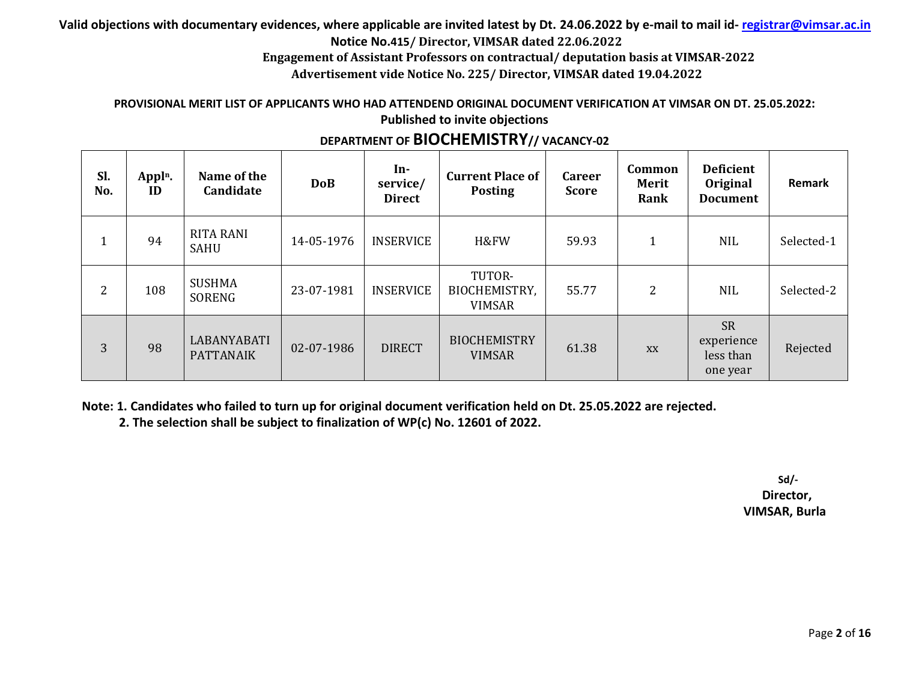**Engagement of Assistant Professors on contractual/ deputation basis at VIMSAR-2022**

**Advertisement vide Notice No. 225/ Director, VIMSAR dated 19.04.2022**

#### **PROVISIONAL MERIT LIST OF APPLICANTS WHO HAD ATTENDEND ORIGINAL DOCUMENT VERIFICATION AT VIMSAR ON DT. 25.05.2022: Published to invite objections**

| Sl.<br>No. | Appl <sup>n</sup> .<br>ID | Name of the<br>Candidate        | <b>DoB</b> | $In-$<br>service/<br><b>Direct</b> | <b>Current Place of</b><br><b>Posting</b> | <b>Career</b><br><b>Score</b> | <b>Common</b><br><b>Merit</b><br>Rank | <b>Deficient</b><br>Original<br><b>Document</b>  | Remark     |
|------------|---------------------------|---------------------------------|------------|------------------------------------|-------------------------------------------|-------------------------------|---------------------------------------|--------------------------------------------------|------------|
|            | 94                        | <b>RITA RANI</b><br><b>SAHU</b> | 14-05-1976 | <b>INSERVICE</b>                   | H&FW                                      | 59.93                         | $\mathbf{1}$                          | <b>NIL</b>                                       | Selected-1 |
| 2          | 108                       | <b>SUSHMA</b><br>SORENG         | 23-07-1981 | <b>INSERVICE</b>                   | TUTOR-<br>BIOCHEMISTRY,<br><b>VIMSAR</b>  | 55.77                         | $\overline{2}$                        | <b>NIL</b>                                       | Selected-2 |
| 3          | 98                        | LABANYABATI<br><b>PATTANAIK</b> | 02-07-1986 | <b>DIRECT</b>                      | <b>BIOCHEMISTRY</b><br><b>VIMSAR</b>      | 61.38                         | <b>XX</b>                             | <b>SR</b><br>experience<br>less than<br>one year | Rejected   |

# **DEPARTMENT OF BIOCHEMISTRY// VACANCY-02**

**Note: 1. Candidates who failed to turn up for original document verification held on Dt. 25.05.2022 are rejected.**

 **2. The selection shall be subject to finalization of WP(c) No. 12601 of 2022.**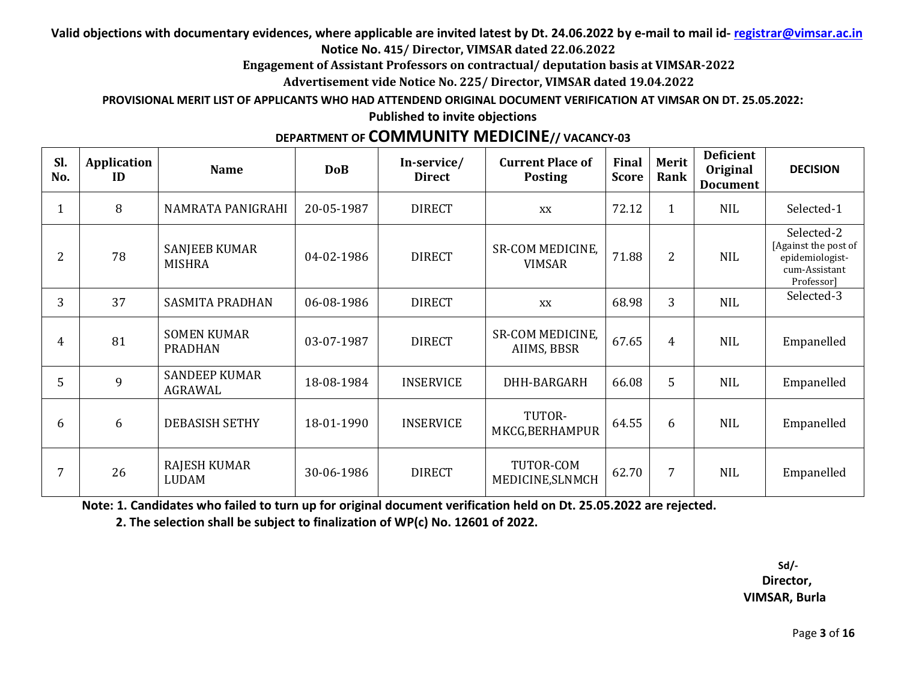**Engagement of Assistant Professors on contractual/ deputation basis at VIMSAR-2022**

**Advertisement vide Notice No. 225/ Director, VIMSAR dated 19.04.2022**

**PROVISIONAL MERIT LIST OF APPLICANTS WHO HAD ATTENDEND ORIGINAL DOCUMENT VERIFICATION AT VIMSAR ON DT. 25.05.2022:** 

**Published to invite objections** 

# **DEPARTMENT OF COMMUNITY MEDICINE// VACANCY-03**

| Sl.<br>No.     | Application<br>ID | <b>Name</b>                          | <b>DoB</b> | In-service/<br><b>Direct</b> | <b>Current Place of</b><br><b>Posting</b> | Final<br><b>Score</b> | Merit<br>Rank  | <b>Deficient</b><br><b>Original</b><br><b>Document</b> | <b>DECISION</b>                                                                      |
|----------------|-------------------|--------------------------------------|------------|------------------------------|-------------------------------------------|-----------------------|----------------|--------------------------------------------------------|--------------------------------------------------------------------------------------|
| 1              | 8                 | NAMRATA PANIGRAHI                    | 20-05-1987 | <b>DIRECT</b>                | XX                                        | 72.12                 | $\mathbf{1}$   | <b>NIL</b>                                             | Selected-1                                                                           |
| $\overline{2}$ | 78                | SANJEEB KUMAR<br><b>MISHRA</b>       | 04-02-1986 | <b>DIRECT</b>                | <b>SR-COM MEDICINE.</b><br><b>VIMSAR</b>  | 71.88                 | $\overline{2}$ | <b>NIL</b>                                             | Selected-2<br>[Against the post of<br>epidemiologist-<br>cum-Assistant<br>Professor] |
| 3              | 37                | <b>SASMITA PRADHAN</b>               | 06-08-1986 | <b>DIRECT</b>                | XX                                        | 68.98                 | 3              | <b>NIL</b>                                             | Selected-3                                                                           |
| 4              | 81                | <b>SOMEN KUMAR</b><br><b>PRADHAN</b> | 03-07-1987 | <b>DIRECT</b>                | <b>SR-COM MEDICINE.</b><br>AIIMS, BBSR    | 67.65                 | $\overline{4}$ | <b>NIL</b>                                             | Empanelled                                                                           |
| 5              | 9                 | <b>SANDEEP KUMAR</b><br>AGRAWAL      | 18-08-1984 | <b>INSERVICE</b>             | DHH-BARGARH                               | 66.08                 | 5              | <b>NIL</b>                                             | Empanelled                                                                           |
| 6              | 6                 | <b>DEBASISH SETHY</b>                | 18-01-1990 | <b>INSERVICE</b>             | TUTOR-<br>MKCG, BERHAMPUR                 | 64.55                 | 6              | <b>NIL</b>                                             | Empanelled                                                                           |
|                | 26                | RAJESH KUMAR<br><b>LUDAM</b>         | 30-06-1986 | <b>DIRECT</b>                | TUTOR-COM<br>MEDICINE, SLNMCH             | 62.70                 | $\overline{7}$ | <b>NIL</b>                                             | Empanelled                                                                           |

**Note: 1. Candidates who failed to turn up for original document verification held on Dt. 25.05.2022 are rejected.**

 **2. The selection shall be subject to finalization of WP(c) No. 12601 of 2022.**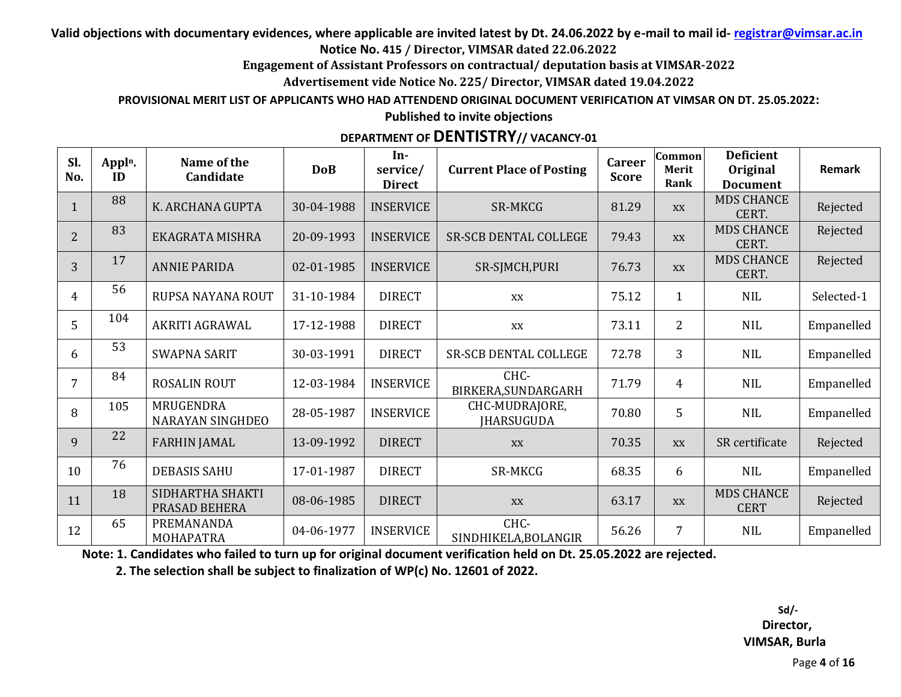**Engagement of Assistant Professors on contractual/ deputation basis at VIMSAR-2022**

**Advertisement vide Notice No. 225/ Director, VIMSAR dated 19.04.2022**

**PROVISIONAL MERIT LIST OF APPLICANTS WHO HAD ATTENDEND ORIGINAL DOCUMENT VERIFICATION AT VIMSAR ON DT. 25.05.2022:** 

**Published to invite objections**

# **DEPARTMENT OF DENTISTRY// VACANCY-01**

| Sl.<br>No.     | Appl <sup>n</sup> .<br>ID | Name of the<br>Candidate             | <b>DoB</b> | In-<br>service/<br><b>Direct</b> | <b>Current Place of Posting</b>     | <b>Career</b><br><b>Score</b> | Common<br><b>Merit</b><br>Rank | <b>Deficient</b><br>Original<br><b>Document</b> | Remark     |
|----------------|---------------------------|--------------------------------------|------------|----------------------------------|-------------------------------------|-------------------------------|--------------------------------|-------------------------------------------------|------------|
|                | 88                        | K. ARCHANA GUPTA                     | 30-04-1988 | <b>INSERVICE</b>                 | SR-MKCG                             | 81.29                         | XX                             | <b>MDS CHANCE</b><br>CERT.                      | Rejected   |
| $\overline{2}$ | 83                        | EKAGRATA MISHRA                      | 20-09-1993 | <b>INSERVICE</b>                 | <b>SR-SCB DENTAL COLLEGE</b>        | 79.43                         | XX                             | <b>MDS CHANCE</b><br>CERT.                      | Rejected   |
| 3              | 17                        | <b>ANNIE PARIDA</b>                  | 02-01-1985 | <b>INSERVICE</b>                 | SR-SJMCH, PURI                      | 76.73                         | XX                             | <b>MDS CHANCE</b><br>CERT.                      | Rejected   |
| $\overline{4}$ | 56                        | RUPSA NAYANA ROUT                    | 31-10-1984 | <b>DIRECT</b>                    | XX                                  | 75.12                         | 1                              | <b>NIL</b>                                      | Selected-1 |
| 5              | 104                       | AKRITI AGRAWAL                       | 17-12-1988 | <b>DIRECT</b>                    | XX                                  | 73.11                         | $\overline{2}$                 | <b>NIL</b>                                      | Empanelled |
| 6              | 53                        | <b>SWAPNA SARIT</b>                  | 30-03-1991 | <b>DIRECT</b>                    | SR-SCB DENTAL COLLEGE               | 72.78                         | 3                              | <b>NIL</b>                                      | Empanelled |
| 7              | 84                        | <b>ROSALIN ROUT</b>                  | 12-03-1984 | <b>INSERVICE</b>                 | CHC-<br>BIRKERA, SUNDARGARH         | 71.79                         | 4                              | <b>NIL</b>                                      | Empanelled |
| 8              | 105                       | MRUGENDRA<br><b>NARAYAN SINGHDEO</b> | 28-05-1987 | <b>INSERVICE</b>                 | CHC-MUDRAJORE,<br><b>IHARSUGUDA</b> | 70.80                         | 5                              | <b>NIL</b>                                      | Empanelled |
| 9              | 22                        | <b>FARHIN JAMAL</b>                  | 13-09-1992 | <b>DIRECT</b>                    | XX                                  | 70.35                         | XX                             | SR certificate                                  | Rejected   |
| 10             | 76                        | <b>DEBASIS SAHU</b>                  | 17-01-1987 | <b>DIRECT</b>                    | SR-MKCG                             | 68.35                         | 6                              | <b>NIL</b>                                      | Empanelled |
| 11             | 18                        | SIDHARTHA SHAKTI<br>PRASAD BEHERA    | 08-06-1985 | <b>DIRECT</b>                    | XX                                  | 63.17                         | XX                             | <b>MDS CHANCE</b><br><b>CERT</b>                | Rejected   |
| 12             | 65                        | PREMANANDA<br>MOHAPATRA              | 04-06-1977 | <b>INSERVICE</b>                 | CHC-<br>SINDHIKELA, BOLANGIR        | 56.26                         | 7                              | <b>NIL</b>                                      | Empanelled |

**Note: 1. Candidates who failed to turn up for original document verification held on Dt. 25.05.2022 are rejected.**

 **2. The selection shall be subject to finalization of WP(c) No. 12601 of 2022.**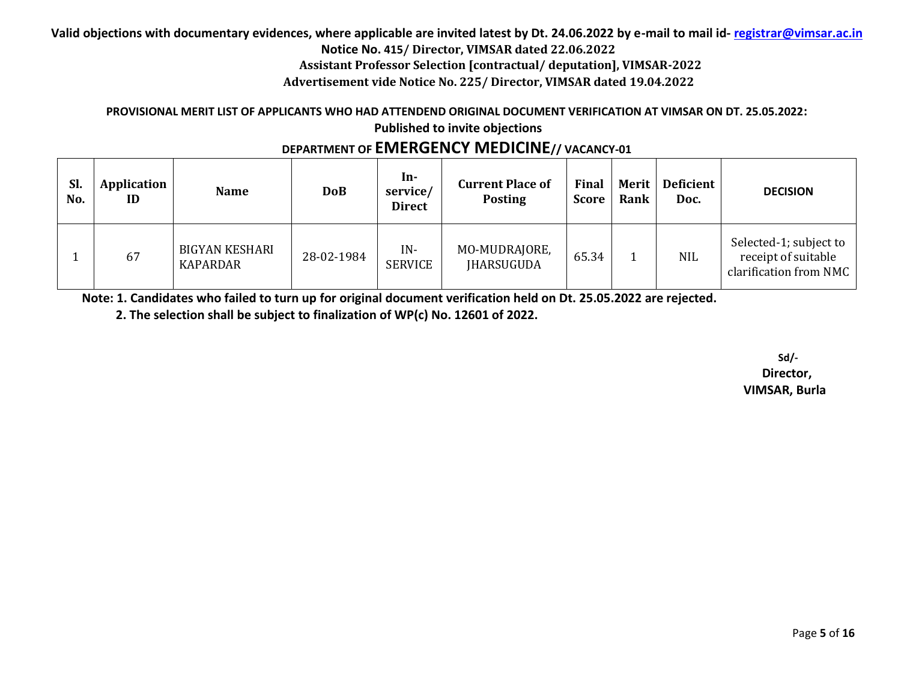**Valid objections with documentary evidences, where applicable are invited latest by Dt. 24.06.2022 by e-mail to mail id- registrar@vimsar.ac.in**

**Notice No. 415/ Director, VIMSAR dated 22.06.2022**

**Assistant Professor Selection [contractual/ deputation], VIMSAR-2022**

**Advertisement vide Notice No. 225/ Director, VIMSAR dated 19.04.2022**

#### **PROVISIONAL MERIT LIST OF APPLICANTS WHO HAD ATTENDEND ORIGINAL DOCUMENT VERIFICATION AT VIMSAR ON DT. 25.05.2022: Published to invite objections**

# **DEPARTMENT OF EMERGENCY MEDICINE// VACANCY-01**

| Sl.<br>No. | Application<br>ID | <b>Name</b>                              | <b>DoB</b> | In-<br>service/<br><b>Direct</b> | <b>Current Place of</b><br><b>Posting</b> | Final<br>Score | Merit  <br>Rank | Deficient<br>Doc. | <b>DECISION</b>                                                         |
|------------|-------------------|------------------------------------------|------------|----------------------------------|-------------------------------------------|----------------|-----------------|-------------------|-------------------------------------------------------------------------|
|            | 67                | <b>BIGYAN KESHARI</b><br><b>KAPARDAR</b> | 28-02-1984 | $IN -$<br><b>SERVICE</b>         | MO-MUDRAJORE,<br><b>IHARSUGUDA</b>        | 65.34          |                 | <b>NIL</b>        | Selected-1; subject to<br>receipt of suitable<br>clarification from NMC |

**Note: 1. Candidates who failed to turn up for original document verification held on Dt. 25.05.2022 are rejected.**

 **2. The selection shall be subject to finalization of WP(c) No. 12601 of 2022.**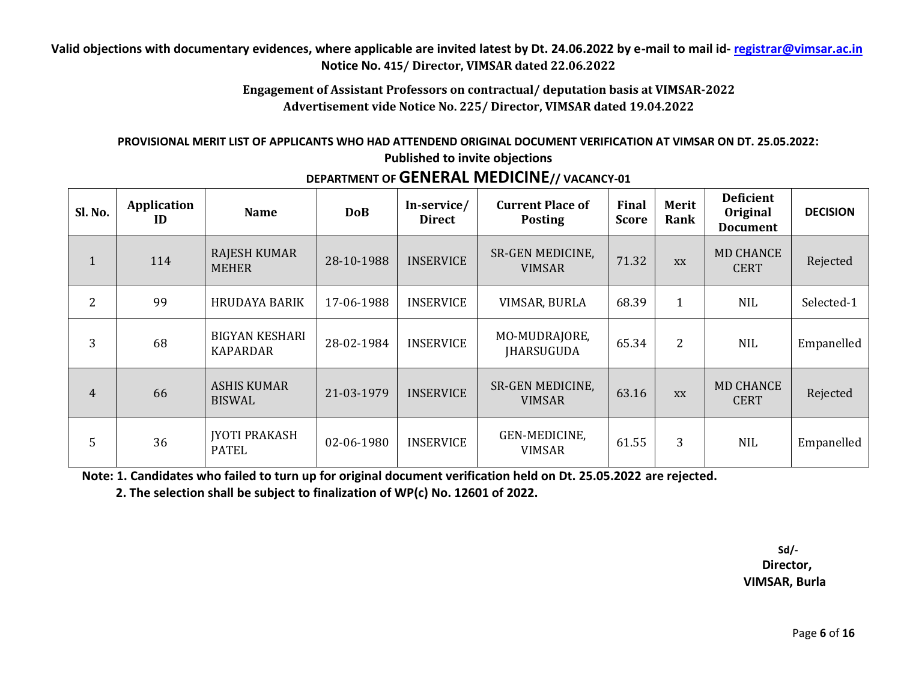### **Engagement of Assistant Professors on contractual/ deputation basis at VIMSAR-2022 Advertisement vide Notice No. 225/ Director, VIMSAR dated 19.04.2022**

#### **PROVISIONAL MERIT LIST OF APPLICANTS WHO HAD ATTENDEND ORIGINAL DOCUMENT VERIFICATION AT VIMSAR ON DT. 25.05.2022: Published to invite objections**

| Sl. No.        | <b>Application</b><br>ID | <b>Name</b>                              | <b>DoB</b> | In-service/<br><b>Direct</b> | <b>Current Place of</b><br><b>Posting</b> | <b>Final</b><br>Score | Merit<br>Rank  | <b>Deficient</b><br>Original<br><b>Document</b> | <b>DECISION</b> |
|----------------|--------------------------|------------------------------------------|------------|------------------------------|-------------------------------------------|-----------------------|----------------|-------------------------------------------------|-----------------|
| $\mathbf{1}$   | 114                      | RAJESH KUMAR<br><b>MEHER</b>             | 28-10-1988 | <b>INSERVICE</b>             | <b>SR-GEN MEDICINE,</b><br><b>VIMSAR</b>  | 71.32                 | <b>XX</b>      | <b>MD CHANCE</b><br><b>CERT</b>                 | Rejected        |
| 2              | 99                       | <b>HRUDAYA BARIK</b>                     | 17-06-1988 | <b>INSERVICE</b>             | VIMSAR, BURLA                             | 68.39                 | $\mathbf{1}$   | <b>NIL</b>                                      | Selected-1      |
| 3              | 68                       | <b>BIGYAN KESHARI</b><br><b>KAPARDAR</b> | 28-02-1984 | <b>INSERVICE</b>             | MO-MUDRAJORE,<br><b>IHARSUGUDA</b>        | 65.34                 | $\overline{2}$ | <b>NIL</b>                                      | Empanelled      |
| $\overline{4}$ | 66                       | <b>ASHIS KUMAR</b><br><b>BISWAL</b>      | 21-03-1979 | <b>INSERVICE</b>             | <b>SR-GEN MEDICINE,</b><br><b>VIMSAR</b>  | 63.16                 | <b>XX</b>      | <b>MD CHANCE</b><br><b>CERT</b>                 | Rejected        |
| 5              | 36                       | <b>JYOTI PRAKASH</b><br><b>PATEL</b>     | 02-06-1980 | <b>INSERVICE</b>             | GEN-MEDICINE,<br><b>VIMSAR</b>            | 61.55                 | 3              | <b>NIL</b>                                      | Empanelled      |

# **DEPARTMENT OF GENERAL MEDICINE// VACANCY-01**

**Note: 1. Candidates who failed to turn up for original document verification held on Dt. 25.05.2022 are rejected.**

 **2. The selection shall be subject to finalization of WP(c) No. 12601 of 2022.**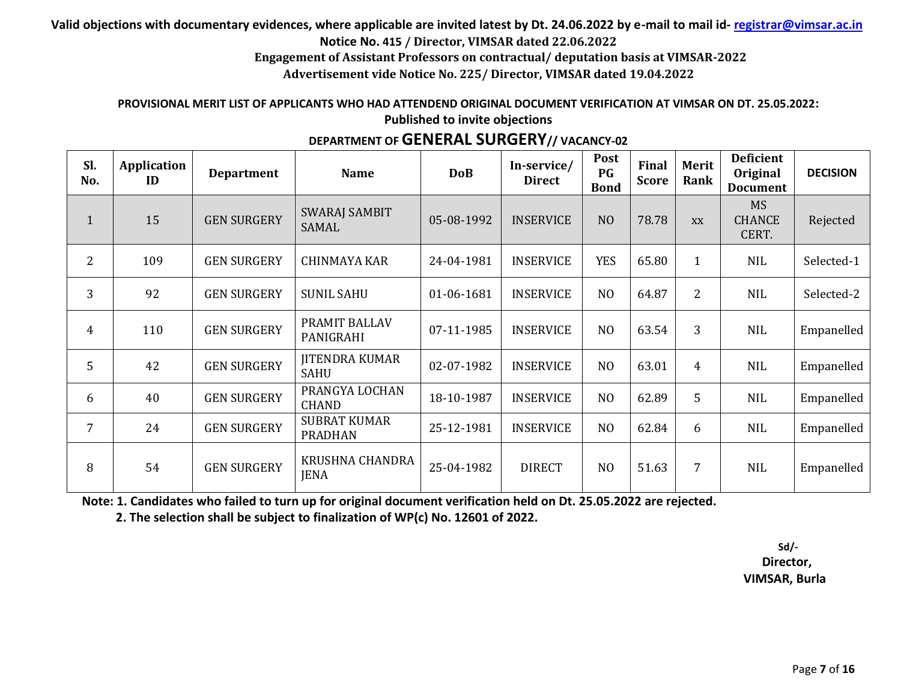**Engagement of Assistant Professors on contractual/ deputation basis at VIMSAR-2022**

**Advertisement vide Notice No. 225/ Director, VIMSAR dated 19.04.2022**

#### **PROVISIONAL MERIT LIST OF APPLICANTS WHO HAD ATTENDEND ORIGINAL DOCUMENT VERIFICATION AT VIMSAR ON DT. 25.05.2022: Published to invite objections**

| Sl.<br>No.     | Application<br>ID | <b>Department</b>  | <b>Name</b>                           | <b>DoB</b> | In-service/<br><b>Direct</b> | Post<br>PG<br><b>Bond</b> | Final<br><b>Score</b> | Merit<br>Rank  | <b>Deficient</b><br>Original<br><b>Document</b> | <b>DECISION</b> |
|----------------|-------------------|--------------------|---------------------------------------|------------|------------------------------|---------------------------|-----------------------|----------------|-------------------------------------------------|-----------------|
| $\mathbf{1}$   | 15                | <b>GEN SURGERY</b> | <b>SWARAJ SAMBIT</b><br><b>SAMAL</b>  | 05-08-1992 | <b>INSERVICE</b>             | N <sub>O</sub>            | 78.78                 | XX             | <b>MS</b><br><b>CHANCE</b><br>CERT.             | Rejected        |
| $\overline{2}$ | 109               | <b>GEN SURGERY</b> | <b>CHINMAYA KAR</b>                   | 24-04-1981 | <b>INSERVICE</b>             | <b>YES</b>                | 65.80                 | $\mathbf{1}$   | <b>NIL</b>                                      | Selected-1      |
| 3              | 92                | <b>GEN SURGERY</b> | <b>SUNIL SAHU</b>                     | 01-06-1681 | <b>INSERVICE</b>             | N <sub>O</sub>            | 64.87                 | $\overline{2}$ | <b>NIL</b>                                      | Selected-2      |
| $\overline{4}$ | 110               | <b>GEN SURGERY</b> | PRAMIT BALLAV<br>PANIGRAHI            | 07-11-1985 | <b>INSERVICE</b>             | N <sub>O</sub>            | 63.54                 | 3              | <b>NIL</b>                                      | Empanelled      |
| 5              | 42                | <b>GEN SURGERY</b> | <b>JITENDRA KUMAR</b><br><b>SAHU</b>  | 02-07-1982 | <b>INSERVICE</b>             | N <sub>O</sub>            | 63.01                 | $\overline{4}$ | <b>NIL</b>                                      | Empanelled      |
| 6              | 40                | <b>GEN SURGERY</b> | PRANGYA LOCHAN<br><b>CHAND</b>        | 18-10-1987 | <b>INSERVICE</b>             | N <sub>O</sub>            | 62.89                 | 5              | <b>NIL</b>                                      | Empanelled      |
| $\overline{7}$ | 24                | <b>GEN SURGERY</b> | <b>SUBRAT KUMAR</b><br><b>PRADHAN</b> | 25-12-1981 | <b>INSERVICE</b>             | N <sub>O</sub>            | 62.84                 | 6              | <b>NIL</b>                                      | Empanelled      |
| 8              | 54                | <b>GEN SURGERY</b> | KRUSHNA CHANDRA<br><b>JENA</b>        | 25-04-1982 | <b>DIRECT</b>                | N <sub>O</sub>            | 51.63                 | 7              | NIL                                             | Empanelled      |

# **DEPARTMENT OF GENERAL SURGERY// VACANCY-02**

**Note: 1. Candidates who failed to turn up for original document verification held on Dt. 25.05.2022 are rejected.**

 **2. The selection shall be subject to finalization of WP(c) No. 12601 of 2022.**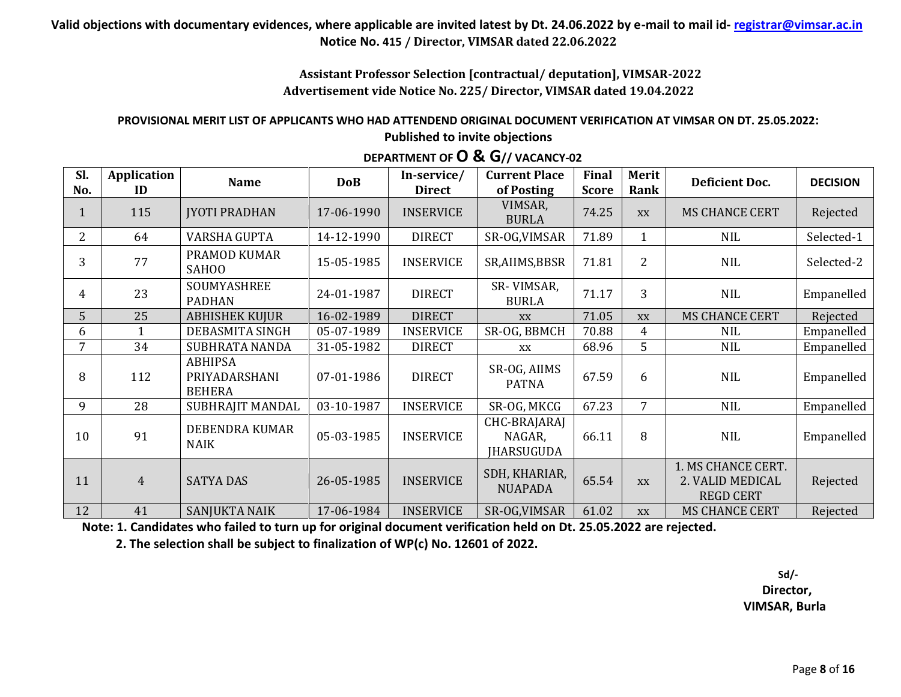# **Assistant Professor Selection [contractual/ deputation], VIMSAR-2022 Advertisement vide Notice No. 225/ Director, VIMSAR dated 19.04.2022**

#### **PROVISIONAL MERIT LIST OF APPLICANTS WHO HAD ATTENDEND ORIGINAL DOCUMENT VERIFICATION AT VIMSAR ON DT. 25.05.2022: Published to invite objections**

| Sl.<br>No.     | Application<br>ID | <b>Name</b>                                      | <b>DoB</b> | In-service/<br><b>Direct</b> | <b>Current Place</b><br>of Posting          | <b>Final</b><br><b>Score</b> | <b>Merit</b><br>Rank | <b>Deficient Doc.</b>                                      | <b>DECISION</b> |
|----------------|-------------------|--------------------------------------------------|------------|------------------------------|---------------------------------------------|------------------------------|----------------------|------------------------------------------------------------|-----------------|
| $\perp$        | 115               | <b>JYOTI PRADHAN</b>                             | 17-06-1990 | <b>INSERVICE</b>             | VIMSAR,<br><b>BURLA</b>                     | 74.25                        | XX                   | <b>MS CHANCE CERT</b>                                      | Rejected        |
| $\overline{2}$ | 64                | VARSHA GUPTA                                     | 14-12-1990 | <b>DIRECT</b>                | SR-OG, VIMSAR                               | 71.89                        | $\mathbf{1}$         | <b>NIL</b>                                                 | Selected-1      |
| 3              | 77                | PRAMOD KUMAR<br><b>SAHOO</b>                     | 15-05-1985 | <b>INSERVICE</b>             | SR, AIIMS, BBSR                             | 71.81                        | $\overline{2}$       | <b>NIL</b>                                                 | Selected-2      |
| 4              | 23                | SOUMYASHREE<br><b>PADHAN</b>                     | 24-01-1987 | <b>DIRECT</b>                | SR-VIMSAR,<br><b>BURLA</b>                  | 71.17                        | $\overline{3}$       | <b>NIL</b>                                                 | Empanelled      |
| 5              | 25                | <b>ABHISHEK KUJUR</b>                            | 16-02-1989 | <b>DIRECT</b>                | XX                                          | 71.05                        | XX                   | <b>MS CHANCE CERT</b>                                      | Rejected        |
| 6              |                   | DEBASMITA SINGH                                  | 05-07-1989 | <b>INSERVICE</b>             | SR-OG, BBMCH                                | 70.88                        | 4                    | <b>NIL</b>                                                 | Empanelled      |
| 7              | 34                | SUBHRATA NANDA                                   | 31-05-1982 | <b>DIRECT</b>                | XX                                          | 68.96                        | 5                    | NIL                                                        | Empanelled      |
| 8              | 112               | <b>ABHIPSA</b><br>PRIYADARSHANI<br><b>BEHERA</b> | 07-01-1986 | <b>DIRECT</b>                | SR-OG, AIIMS<br><b>PATNA</b>                | 67.59                        | 6                    | <b>NIL</b>                                                 | Empanelled      |
| 9              | 28                | SUBHRAJIT MANDAL                                 | 03-10-1987 | <b>INSERVICE</b>             | SR-OG, MKCG                                 | 67.23                        | 7                    | <b>NIL</b>                                                 | Empanelled      |
| 10             | 91                | DEBENDRA KUMAR<br><b>NAIK</b>                    | 05-03-1985 | <b>INSERVICE</b>             | CHC-BRAJARAJ<br>NAGAR,<br><b>JHARSUGUDA</b> | 66.11                        | 8                    | <b>NIL</b>                                                 | Empanelled      |
| 11             | $\overline{4}$    | <b>SATYA DAS</b>                                 | 26-05-1985 | <b>INSERVICE</b>             | SDH, KHARIAR,<br><b>NUAPADA</b>             | 65.54                        | XX                   | 1. MS CHANCE CERT.<br>2. VALID MEDICAL<br><b>REGD CERT</b> | Rejected        |
| 12             | 41                | <b>SANJUKTA NAIK</b>                             | 17-06-1984 | <b>INSERVICE</b>             | SR-OG, VIMSAR                               | 61.02                        | XX                   | <b>MS CHANCE CERT</b>                                      | Rejected        |

# **DEPARTMENT OF O & G// VACANCY-02**

**Note: 1. Candidates who failed to turn up for original document verification held on Dt. 25.05.2022 are rejected.**

 **2. The selection shall be subject to finalization of WP(c) No. 12601 of 2022.**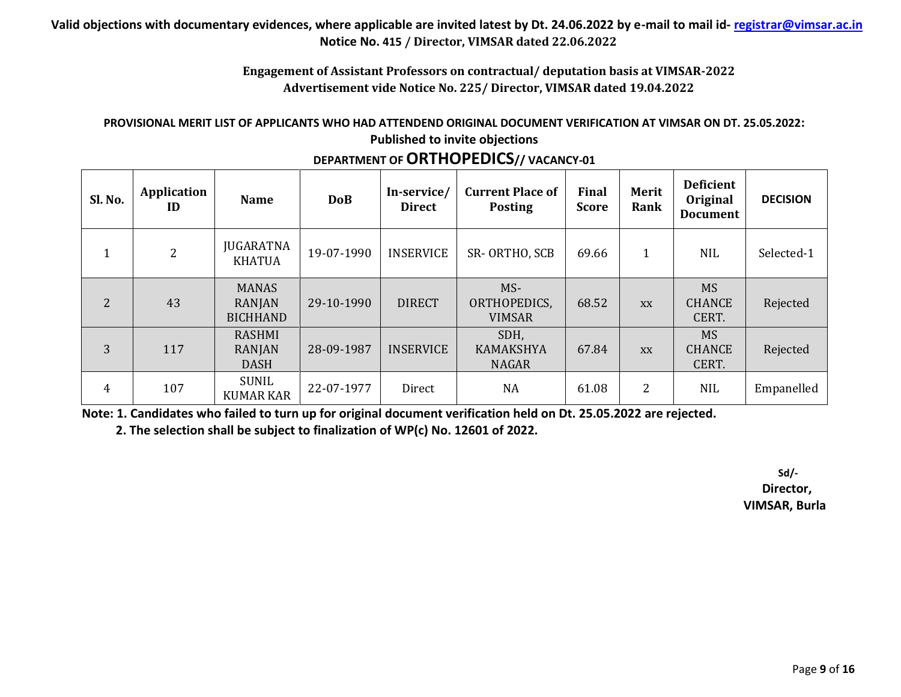#### **Engagement of Assistant Professors on contractual/ deputation basis at VIMSAR-2022 Advertisement vide Notice No. 225/ Director, VIMSAR dated 19.04.2022**

#### **PROVISIONAL MERIT LIST OF APPLICANTS WHO HAD ATTENDEND ORIGINAL DOCUMENT VERIFICATION AT VIMSAR ON DT. 25.05.2022: Published to invite objections**

| Sl. No.        | Application<br>ID | <b>Name</b>                               | <b>DoB</b> | In-service/<br><b>Direct</b> | <b>Current Place of</b><br><b>Posting</b> | Final<br><b>Score</b> | <b>Merit</b><br>Rank | <b>Deficient</b><br>Original<br><b>Document</b> | <b>DECISION</b> |
|----------------|-------------------|-------------------------------------------|------------|------------------------------|-------------------------------------------|-----------------------|----------------------|-------------------------------------------------|-----------------|
| 1              | $\overline{2}$    | <b>JUGARATNA</b><br><b>KHATUA</b>         | 19-07-1990 | <b>INSERVICE</b>             | SR-ORTHO, SCB                             | 69.66                 | 1                    | <b>NIL</b>                                      | Selected-1      |
| $\overline{2}$ | 43                | <b>MANAS</b><br>RANJAN<br><b>BICHHAND</b> | 29-10-1990 | <b>DIRECT</b>                | MS-<br>ORTHOPEDICS,<br><b>VIMSAR</b>      | 68.52                 | <b>XX</b>            | <b>MS</b><br><b>CHANCE</b><br>CERT.             | Rejected        |
| 3              | 117               | <b>RASHMI</b><br>RANJAN<br><b>DASH</b>    | 28-09-1987 | <b>INSERVICE</b>             | SDH,<br><b>KAMAKSHYA</b><br><b>NAGAR</b>  | 67.84                 | <b>XX</b>            | <b>MS</b><br><b>CHANCE</b><br>CERT.             | Rejected        |
| 4              | 107               | SUNIL<br><b>KUMAR KAR</b>                 | 22-07-1977 | Direct                       | NA                                        | 61.08                 | 2                    | <b>NIL</b>                                      | Empanelled      |

# **DEPARTMENT OF ORTHOPEDICS// VACANCY-01**

**Note: 1. Candidates who failed to turn up for original document verification held on Dt. 25.05.2022 are rejected.**

 **2. The selection shall be subject to finalization of WP(c) No. 12601 of 2022.**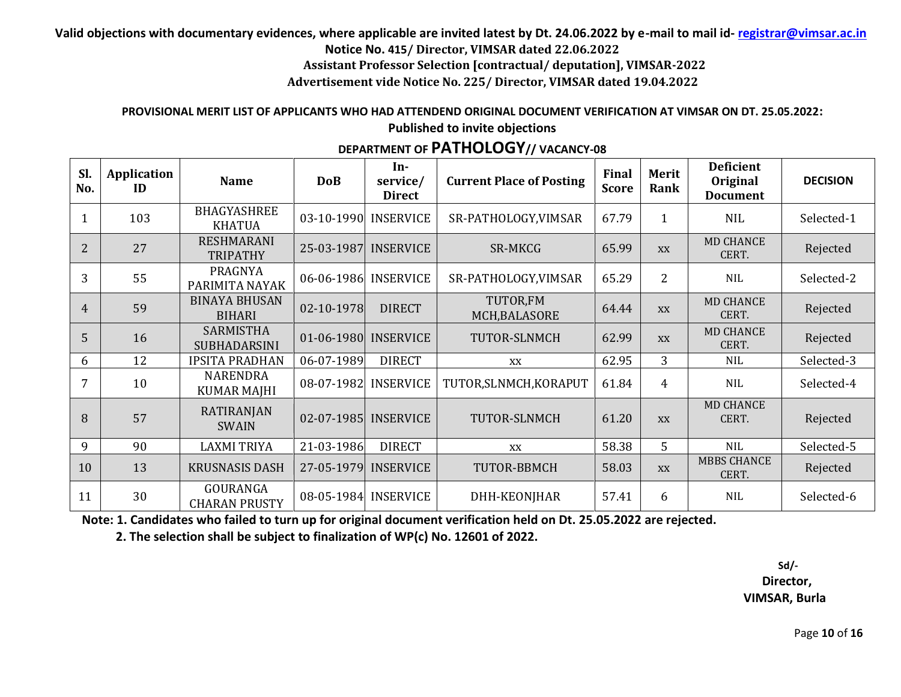**Valid objections with documentary evidences, where applicable are invited latest by Dt. 24.06.2022 by e-mail to mail id- registrar@vimsar.ac.in**

**Notice No. 415/ Director, VIMSAR dated 22.06.2022**

**Assistant Professor Selection [contractual/ deputation], VIMSAR-2022**

**Advertisement vide Notice No. 225/ Director, VIMSAR dated 19.04.2022**

#### **PROVISIONAL MERIT LIST OF APPLICANTS WHO HAD ATTENDEND ORIGINAL DOCUMENT VERIFICATION AT VIMSAR ON DT. 25.05.2022: Published to invite objections**

# **DEPARTMENT OF PATHOLOGY// VACANCY-08**

| Sl.<br>No.     | Application<br>ID | <b>Name</b>                             | <b>DoB</b> | In-<br>service/<br><b>Direct</b> | <b>Current Place of Posting</b> | Final<br><b>Score</b> | Merit<br>Rank  | <b>Deficient</b><br>Original<br><b>Document</b> | <b>DECISION</b> |
|----------------|-------------------|-----------------------------------------|------------|----------------------------------|---------------------------------|-----------------------|----------------|-------------------------------------------------|-----------------|
|                | 103               | <b>BHAGYASHREE</b><br><b>KHATUA</b>     |            | 03-10-1990 INSERVICE             | SR-PATHOLOGY, VIMSAR            | 67.79                 | $\mathbf{1}$   | <b>NIL</b>                                      | Selected-1      |
| $\overline{2}$ | 27                | <b>RESHMARANI</b><br><b>TRIPATHY</b>    |            | 25-03-1987 INSERVICE             | <b>SR-MKCG</b>                  | 65.99                 | <b>XX</b>      | <b>MD CHANCE</b><br>CERT.                       | Rejected        |
| 3              | 55                | PRAGNYA<br>PARIMITA NAYAK               |            | 06-06-1986 INSERVICE             | SR-PATHOLOGY, VIMSAR            | 65.29                 | $\overline{2}$ | <b>NIL</b>                                      | Selected-2      |
| $\overline{4}$ | 59                | <b>BINAYA BHUSAN</b><br><b>BIHARI</b>   | 02-10-1978 | <b>DIRECT</b>                    | TUTOR,FM<br>MCH, BALASORE       | 64.44                 | XX             | <b>MD CHANCE</b><br>CERT.                       | Rejected        |
| 5              | 16                | <b>SARMISTHA</b><br><b>SUBHADARSINI</b> |            | 01-06-1980 INSERVICE             | TUTOR-SLNMCH                    | 62.99                 | <b>XX</b>      | <b>MD CHANCE</b><br>CERT.                       | Rejected        |
| 6              | 12                | <b>IPSITA PRADHAN</b>                   | 06-07-1989 | <b>DIRECT</b>                    | XX                              | 62.95                 | 3              | NIL                                             | Selected-3      |
| 7              | 10                | <b>NARENDRA</b><br><b>KUMAR MAJHI</b>   | 08-07-1982 | <b>INSERVICE</b>                 | TUTOR, SLNMCH, KORAPUT          | 61.84                 | 4              | NIL                                             | Selected-4      |
| 8              | 57                | <b>RATIRANJAN</b><br><b>SWAIN</b>       |            | 02-07-1985 INSERVICE             | TUTOR-SLNMCH                    | 61.20                 | <b>XX</b>      | <b>MD CHANCE</b><br>CERT.                       | Rejected        |
| 9              | 90                | <b>LAXMI TRIYA</b>                      | 21-03-1986 | <b>DIRECT</b>                    | XX                              | 58.38                 | 5              | <b>NIL</b>                                      | Selected-5      |
| 10             | 13                | <b>KRUSNASIS DASH</b>                   |            | 27-05-1979 INSERVICE             | TUTOR-BBMCH                     | 58.03                 | XX             | <b>MBBS CHANCE</b><br>CERT.                     | Rejected        |
| 11             | 30                | GOURANGA<br><b>CHARAN PRUSTY</b>        |            | 08-05-1984 INSERVICE             | DHH-KEONJHAR                    | 57.41                 | 6              | <b>NIL</b>                                      | Selected-6      |

**Note: 1. Candidates who failed to turn up for original document verification held on Dt. 25.05.2022 are rejected.**

 **2. The selection shall be subject to finalization of WP(c) No. 12601 of 2022.**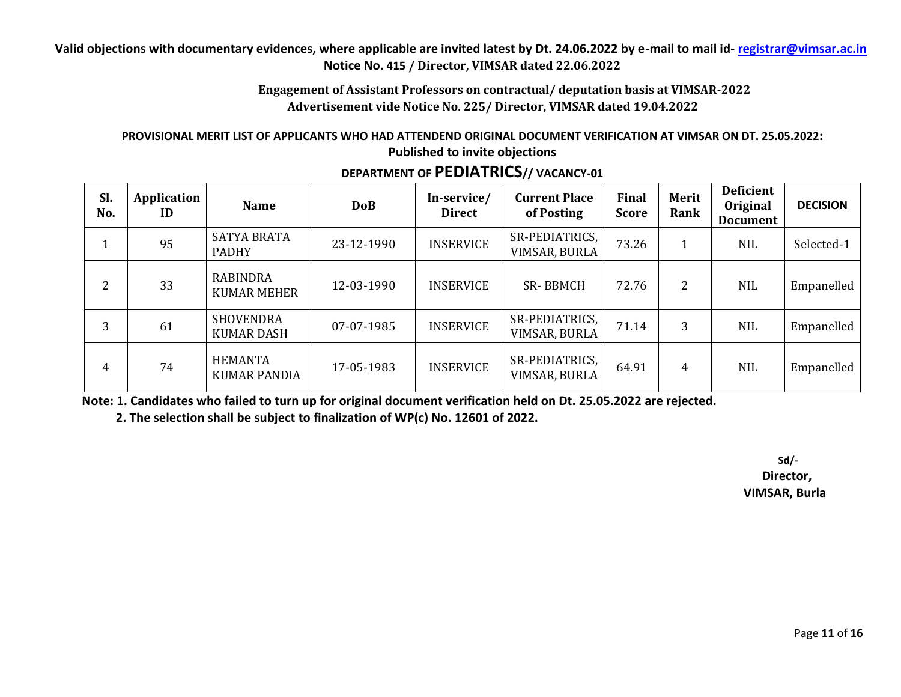**Engagement of Assistant Professors on contractual/ deputation basis at VIMSAR-2022 Advertisement vide Notice No. 225/ Director, VIMSAR dated 19.04.2022**

#### **PROVISIONAL MERIT LIST OF APPLICANTS WHO HAD ATTENDEND ORIGINAL DOCUMENT VERIFICATION AT VIMSAR ON DT. 25.05.2022: Published to invite objections**

| Sl.<br>No. | Application<br>ID | <b>Name</b>                           | <b>DoB</b> | In-service/<br><b>Direct</b> | <b>Current Place</b><br>of Posting | Final<br><b>Score</b> | <b>Merit</b><br>Rank | <b>Deficient</b><br>Original<br><b>Document</b> | <b>DECISION</b> |
|------------|-------------------|---------------------------------------|------------|------------------------------|------------------------------------|-----------------------|----------------------|-------------------------------------------------|-----------------|
| 1          | 95                | <b>SATYA BRATA</b><br><b>PADHY</b>    | 23-12-1990 | <b>INSERVICE</b>             | SR-PEDIATRICS,<br>VIMSAR, BURLA    | 73.26                 |                      | <b>NIL</b>                                      | Selected-1      |
| 2          | 33                | <b>RABINDRA</b><br><b>KUMAR MEHER</b> | 12-03-1990 | <b>INSERVICE</b>             | <b>SR-BBMCH</b>                    | 72.76                 | 2                    | <b>NIL</b>                                      | Empanelled      |
| 3          | 61                | <b>SHOVENDRA</b><br><b>KUMAR DASH</b> | 07-07-1985 | <b>INSERVICE</b>             | SR-PEDIATRICS,<br>VIMSAR, BURLA    | 71.14                 | 3                    | <b>NIL</b>                                      | Empanelled      |
| 4          | 74                | <b>HEMANTA</b><br><b>KUMAR PANDIA</b> | 17-05-1983 | <b>INSERVICE</b>             | SR-PEDIATRICS,<br>VIMSAR, BURLA    | 64.91                 | 4                    | <b>NIL</b>                                      | Empanelled      |

**DEPARTMENT OF PEDIATRICS// VACANCY-01**

**Note: 1. Candidates who failed to turn up for original document verification held on Dt. 25.05.2022 are rejected.**

 **2. The selection shall be subject to finalization of WP(c) No. 12601 of 2022.**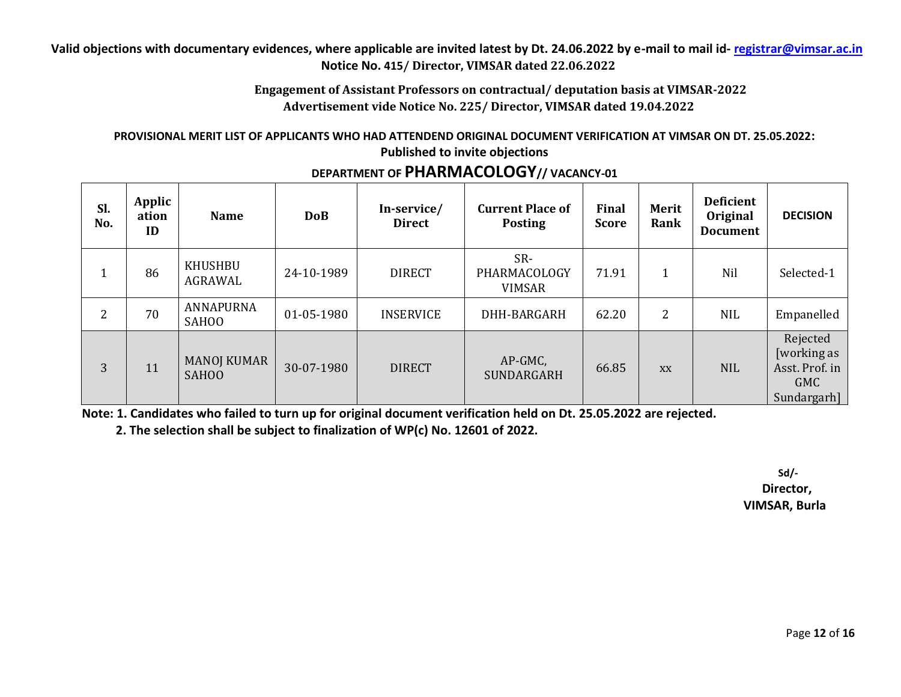**Engagement of Assistant Professors on contractual/ deputation basis at VIMSAR-2022 Advertisement vide Notice No. 225/ Director, VIMSAR dated 19.04.2022**

#### **PROVISIONAL MERIT LIST OF APPLICANTS WHO HAD ATTENDEND ORIGINAL DOCUMENT VERIFICATION AT VIMSAR ON DT. 25.05.2022: Published to invite objections**

| Sl.<br>No. | Applic<br>ation<br>ID | <b>Name</b>                        | <b>DoB</b> | In-service/<br><b>Direct</b> | <b>Current Place of</b><br><b>Posting</b> | Final<br><b>Score</b> | Merit<br>Rank | <b>Deficient</b><br>Original<br><b>Document</b> | <b>DECISION</b>                                                 |
|------------|-----------------------|------------------------------------|------------|------------------------------|-------------------------------------------|-----------------------|---------------|-------------------------------------------------|-----------------------------------------------------------------|
| 1          | 86                    | KHUSHBU<br>AGRAWAL                 | 24-10-1989 | <b>DIRECT</b>                | SR-<br>PHARMACOLOGY<br><b>VIMSAR</b>      | 71.91                 |               | Nil                                             | Selected-1                                                      |
| 2          | 70                    | ANNAPURNA<br><b>SAHOO</b>          | 01-05-1980 | <b>INSERVICE</b>             | DHH-BARGARH                               | 62.20                 | 2             | <b>NIL</b>                                      | Empanelled                                                      |
| 3          | 11                    | <b>MANOJ KUMAR</b><br><b>SAHOO</b> | 30-07-1980 | <b>DIRECT</b>                | AP-GMC,<br>SUNDARGARH                     | 66.85                 | <b>XX</b>     | <b>NIL</b>                                      | Rejected<br>[working as<br>Asst. Prof. in<br>GMC<br>Sundargarh] |

# **DEPARTMENT OF PHARMACOLOGY// VACANCY-01**

**Note: 1. Candidates who failed to turn up for original document verification held on Dt. 25.05.2022 are rejected.**

 **2. The selection shall be subject to finalization of WP(c) No. 12601 of 2022.**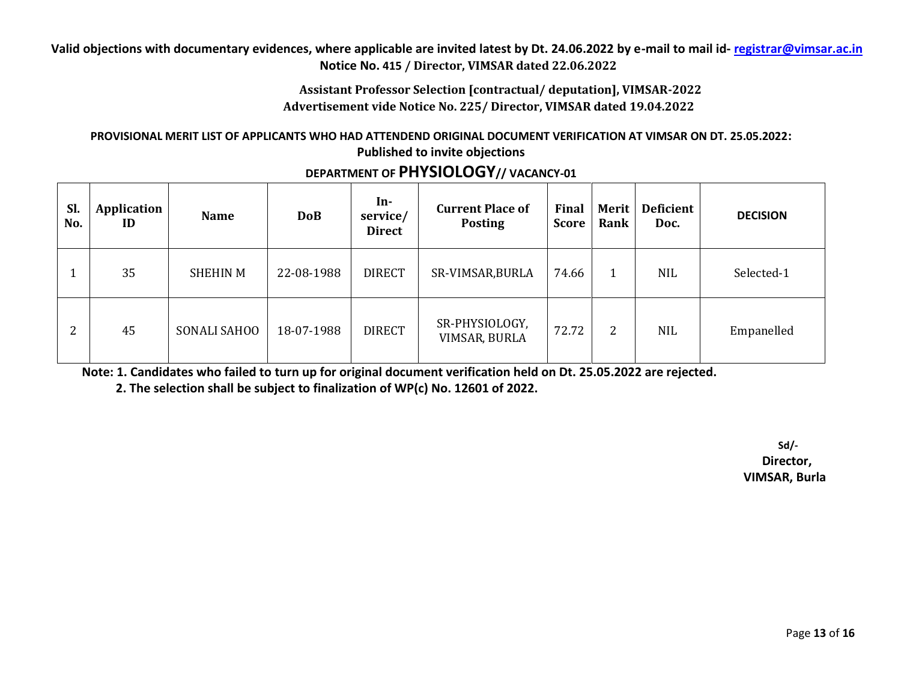### **Assistant Professor Selection [contractual/ deputation], VIMSAR-2022 Advertisement vide Notice No. 225/ Director, VIMSAR dated 19.04.2022**

#### **PROVISIONAL MERIT LIST OF APPLICANTS WHO HAD ATTENDEND ORIGINAL DOCUMENT VERIFICATION AT VIMSAR ON DT. 25.05.2022: Published to invite objections**

| Sl.<br>No. | Application<br>ID | <b>Name</b>         | <b>DoB</b> | In-<br>service/<br><b>Direct</b> | <b>Current Place of</b><br><b>Posting</b> | Final<br><b>Score</b> | <b>Merit</b><br>Rank | Deficient<br>Doc. | <b>DECISION</b> |
|------------|-------------------|---------------------|------------|----------------------------------|-------------------------------------------|-----------------------|----------------------|-------------------|-----------------|
|            | 35                | <b>SHEHIN M</b>     | 22-08-1988 | <b>DIRECT</b>                    | SR-VIMSAR, BURLA                          | 74.66                 | 1                    | <b>NIL</b>        | Selected-1      |
| 2          | 45                | <b>SONALI SAHOO</b> | 18-07-1988 | <b>DIRECT</b>                    | SR-PHYSIOLOGY,<br>VIMSAR, BURLA           | 72.72                 | 2                    | <b>NIL</b>        | Empanelled      |

# **DEPARTMENT OF PHYSIOLOGY// VACANCY-01**

**Note: 1. Candidates who failed to turn up for original document verification held on Dt. 25.05.2022 are rejected.**

 **2. The selection shall be subject to finalization of WP(c) No. 12601 of 2022.**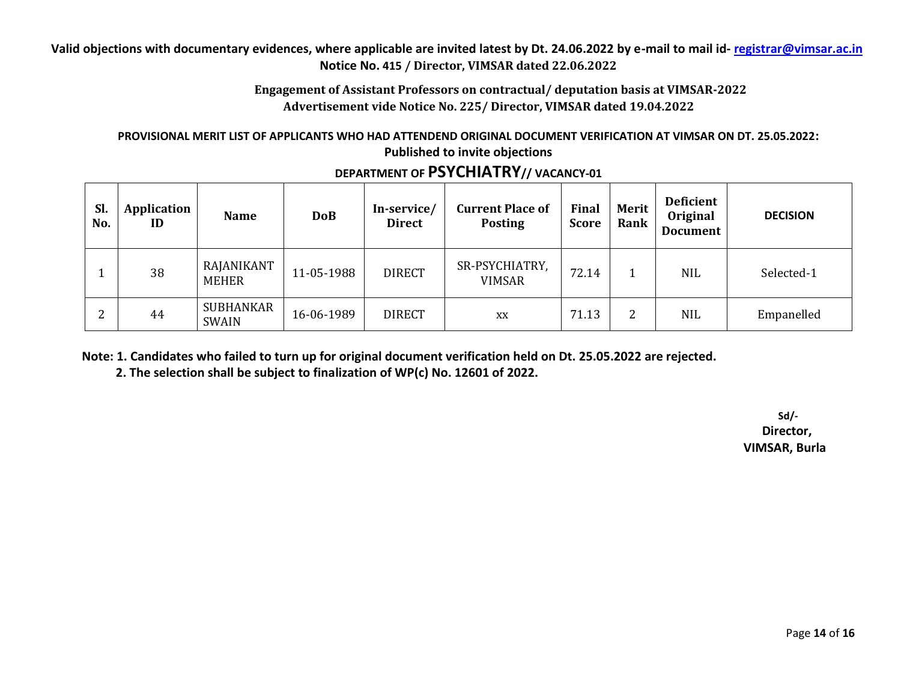**Engagement of Assistant Professors on contractual/ deputation basis at VIMSAR-2022 Advertisement vide Notice No. 225/ Director, VIMSAR dated 19.04.2022**

#### **PROVISIONAL MERIT LIST OF APPLICANTS WHO HAD ATTENDEND ORIGINAL DOCUMENT VERIFICATION AT VIMSAR ON DT. 25.05.2022: Published to invite objections**

| Sl.<br>No. | Application<br>ID | <b>Name</b>                      | <b>DoB</b> | In-service/<br><b>Direct</b> | <b>Current Place of</b><br><b>Posting</b> | Final<br><b>Score</b> | Merit<br>Rank | <b>Deficient</b><br>Original<br><b>Document</b> | <b>DECISION</b> |
|------------|-------------------|----------------------------------|------------|------------------------------|-------------------------------------------|-----------------------|---------------|-------------------------------------------------|-----------------|
|            | 38                | RAJANIKANT<br><b>MEHER</b>       | 11-05-1988 | <b>DIRECT</b>                | SR-PSYCHIATRY,<br><b>VIMSAR</b>           | 72.14                 |               | <b>NIL</b>                                      | Selected-1      |
| ▵          | 44                | <b>SUBHANKAR</b><br><b>SWAIN</b> | 16-06-1989 | <b>DIRECT</b>                | XX                                        | 71.13                 | ∠             | <b>NIL</b>                                      | Empanelled      |

# **DEPARTMENT OF PSYCHIATRY// VACANCY-01**

**Note: 1. Candidates who failed to turn up for original document verification held on Dt. 25.05.2022 are rejected.**

 **2. The selection shall be subject to finalization of WP(c) No. 12601 of 2022.**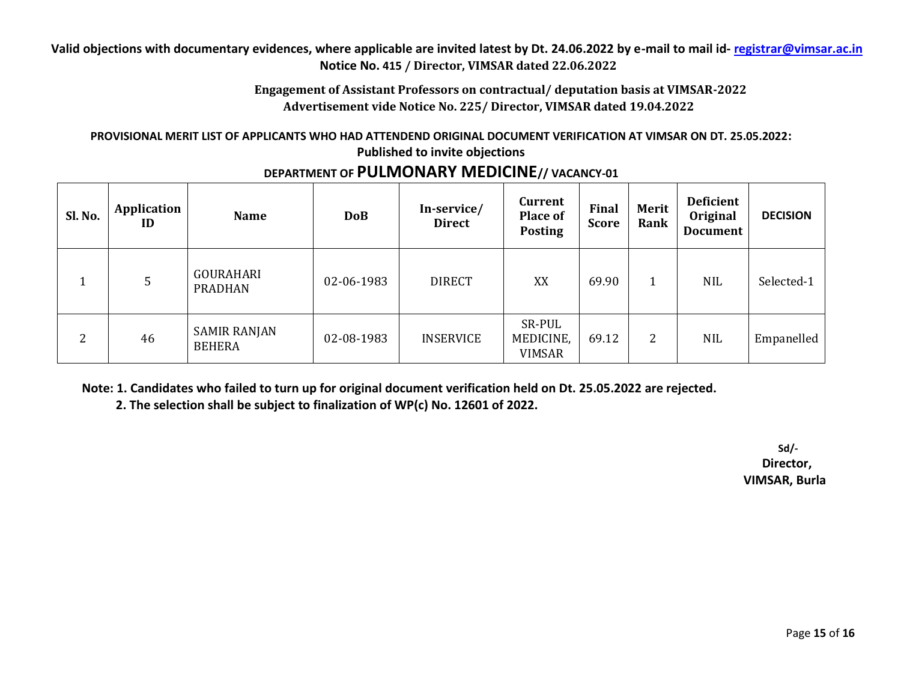**Engagement of Assistant Professors on contractual/ deputation basis at VIMSAR-2022 Advertisement vide Notice No. 225/ Director, VIMSAR dated 19.04.2022**

#### **PROVISIONAL MERIT LIST OF APPLICANTS WHO HAD ATTENDEND ORIGINAL DOCUMENT VERIFICATION AT VIMSAR ON DT. 25.05.2022: Published to invite objections**

| Sl. No. | Application<br>ID | <b>Name</b>                          | <b>DoB</b> | In-service/<br><b>Direct</b> | Current<br><b>Place of</b><br><b>Posting</b> | Final<br><b>Score</b> | <b>Merit</b><br>Rank | <b>Deficient</b><br>Original<br><b>Document</b> | <b>DECISION</b> |
|---------|-------------------|--------------------------------------|------------|------------------------------|----------------------------------------------|-----------------------|----------------------|-------------------------------------------------|-----------------|
|         | 5                 | <b>GOURAHARI</b><br><b>PRADHAN</b>   | 02-06-1983 | <b>DIRECT</b>                | XX                                           | 69.90                 |                      | <b>NIL</b>                                      | Selected-1      |
| 2       | 46                | <b>SAMIR RANJAN</b><br><b>BEHERA</b> | 02-08-1983 | <b>INSERVICE</b>             | SR-PUL<br>MEDICINE,<br><b>VIMSAR</b>         | 69.12                 | 2                    | <b>NIL</b>                                      | Empanelled      |

**DEPARTMENT OF PULMONARY MEDICINE// VACANCY-01**

**Note: 1. Candidates who failed to turn up for original document verification held on Dt. 25.05.2022 are rejected.**

 **2. The selection shall be subject to finalization of WP(c) No. 12601 of 2022.**